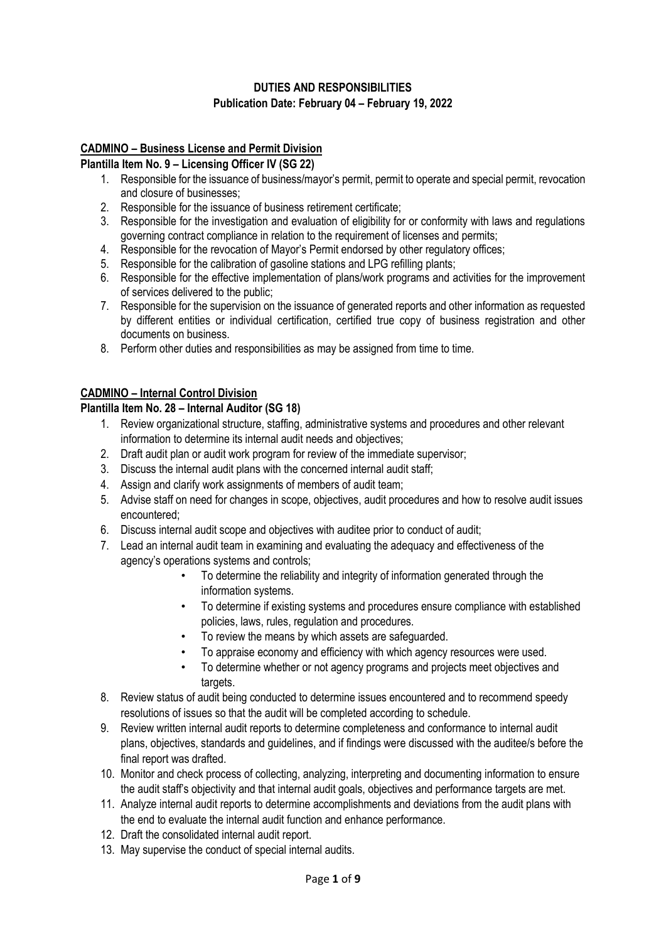## **DUTIES AND RESPONSIBILITIES Publication Date: February 04 – February 19, 2022**

#### **CADMINO – Business License and Permit Division**

#### **Plantilla Item No. 9 – Licensing Officer IV (SG 22)**

- 1. Responsible for the issuance of business/mayor's permit, permit to operate and special permit, revocation and closure of businesses;
- 2. Responsible for the issuance of business retirement certificate;
- 3. Responsible for the investigation and evaluation of eligibility for or conformity with laws and regulations governing contract compliance in relation to the requirement of licenses and permits;
- 4. Responsible for the revocation of Mayor's Permit endorsed by other regulatory offices;
- 5. Responsible for the calibration of gasoline stations and LPG refilling plants;
- 6. Responsible for the effective implementation of plans/work programs and activities for the improvement of services delivered to the public;
- 7. Responsible for the supervision on the issuance of generated reports and other information as requested by different entities or individual certification, certified true copy of business registration and other documents on business.
- 8. Perform other duties and responsibilities as may be assigned from time to time.

#### **CADMINO – Internal Control Division**

## **Plantilla Item No. 28 – Internal Auditor (SG 18)**

- 1. Review organizational structure, staffing, administrative systems and procedures and other relevant information to determine its internal audit needs and objectives;
- 2. Draft audit plan or audit work program for review of the immediate supervisor;
- 3. Discuss the internal audit plans with the concerned internal audit staff;
- 4. Assign and clarify work assignments of members of audit team;
- 5. Advise staff on need for changes in scope, objectives, audit procedures and how to resolve audit issues encountered;
- 6. Discuss internal audit scope and objectives with auditee prior to conduct of audit;
- 7. Lead an internal audit team in examining and evaluating the adequacy and effectiveness of the agency's operations systems and controls;
	- To determine the reliability and integrity of information generated through the information systems.
	- To determine if existing systems and procedures ensure compliance with established policies, laws, rules, regulation and procedures.
	- To review the means by which assets are safeguarded.
	- To appraise economy and efficiency with which agency resources were used.
	- To determine whether or not agency programs and projects meet objectives and targets.
- 8. Review status of audit being conducted to determine issues encountered and to recommend speedy resolutions of issues so that the audit will be completed according to schedule.
- 9. Review written internal audit reports to determine completeness and conformance to internal audit plans, objectives, standards and guidelines, and if findings were discussed with the auditee/s before the final report was drafted.
- 10. Monitor and check process of collecting, analyzing, interpreting and documenting information to ensure the audit staff's objectivity and that internal audit goals, objectives and performance targets are met.
- 11. Analyze internal audit reports to determine accomplishments and deviations from the audit plans with the end to evaluate the internal audit function and enhance performance.
- 12. Draft the consolidated internal audit report.
- 13. May supervise the conduct of special internal audits.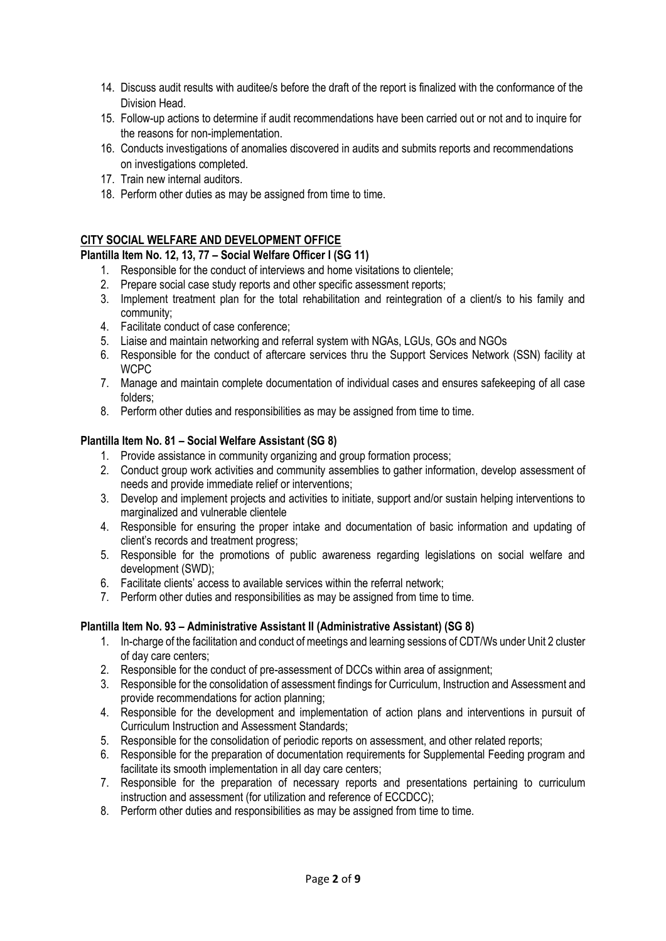- 14. Discuss audit results with auditee/s before the draft of the report is finalized with the conformance of the Division Head.
- 15. Follow-up actions to determine if audit recommendations have been carried out or not and to inquire for the reasons for non-implementation.
- 16. Conducts investigations of anomalies discovered in audits and submits reports and recommendations on investigations completed.
- 17. Train new internal auditors.
- 18. Perform other duties as may be assigned from time to time.

# **CITY SOCIAL WELFARE AND DEVELOPMENT OFFICE**

## **Plantilla Item No. 12, 13, 77 – Social Welfare Officer I (SG 11)**

- 1. Responsible for the conduct of interviews and home visitations to clientele;
- 2. Prepare social case study reports and other specific assessment reports;
- 3. Implement treatment plan for the total rehabilitation and reintegration of a client/s to his family and community;
- 4. Facilitate conduct of case conference;
- 5. Liaise and maintain networking and referral system with NGAs, LGUs, GOs and NGOs
- 6. Responsible for the conduct of aftercare services thru the Support Services Network (SSN) facility at **WCPC**
- 7. Manage and maintain complete documentation of individual cases and ensures safekeeping of all case folders;
- 8. Perform other duties and responsibilities as may be assigned from time to time.

#### **Plantilla Item No. 81 – Social Welfare Assistant (SG 8)**

- 1. Provide assistance in community organizing and group formation process;
- 2. Conduct group work activities and community assemblies to gather information, develop assessment of needs and provide immediate relief or interventions;
- 3. Develop and implement projects and activities to initiate, support and/or sustain helping interventions to marginalized and vulnerable clientele
- 4. Responsible for ensuring the proper intake and documentation of basic information and updating of client's records and treatment progress;
- 5. Responsible for the promotions of public awareness regarding legislations on social welfare and development (SWD);
- 6. Facilitate clients' access to available services within the referral network;
- 7. Perform other duties and responsibilities as may be assigned from time to time.

#### **Plantilla Item No. 93 – Administrative Assistant II (Administrative Assistant) (SG 8)**

- 1. In-charge of the facilitation and conduct of meetings and learning sessions of CDT/Ws under Unit 2 cluster of day care centers;
- 2. Responsible for the conduct of pre-assessment of DCCs within area of assignment;
- 3. Responsible for the consolidation of assessment findings for Curriculum, Instruction and Assessment and provide recommendations for action planning;
- 4. Responsible for the development and implementation of action plans and interventions in pursuit of Curriculum Instruction and Assessment Standards;
- 5. Responsible for the consolidation of periodic reports on assessment, and other related reports;
- 6. Responsible for the preparation of documentation requirements for Supplemental Feeding program and facilitate its smooth implementation in all day care centers;
- 7. Responsible for the preparation of necessary reports and presentations pertaining to curriculum instruction and assessment (for utilization and reference of ECCDCC);
- 8. Perform other duties and responsibilities as may be assigned from time to time.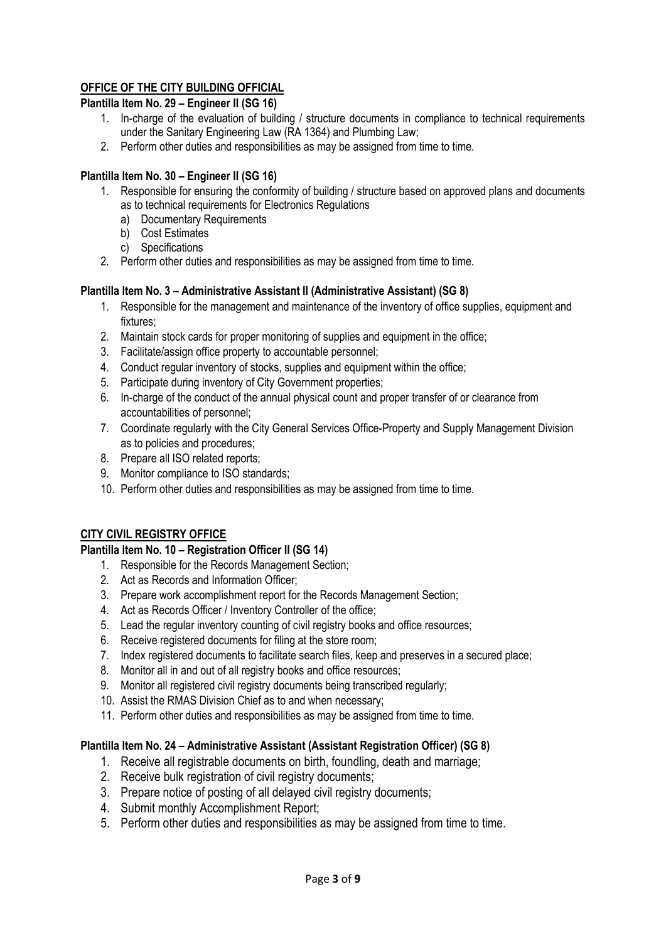# **OFFICE OF THE CITY BUILDING OFFICIAL**

## **Plantilla Item No. 29 – Engineer II (SG 16)**

- 1. In-charge of the evaluation of building / structure documents in compliance to technical requirements under the Sanitary Engineering Law (RA 1364) and Plumbing Law;
- 2. Perform other duties and responsibilities as may be assigned from time to time.

#### **Plantilla Item No. 30 – Engineer II (SG 16)**

- 1. Responsible for ensuring the conformity of building / structure based on approved plans and documents as to technical requirements for Electronics Regulations
	- a) Documentary Requirements
	- b) Cost Estimates
	- c) Specifications
- 2. Perform other duties and responsibilities as may be assigned from time to time.

## **Plantilla Item No. 3 – Administrative Assistant II (Administrative Assistant) (SG 8)**

- 1. Responsible for the management and maintenance of the inventory of office supplies, equipment and fixtures;
- 2. Maintain stock cards for proper monitoring of supplies and equipment in the office;
- 3. Facilitate/assign office property to accountable personnel;
- 4. Conduct regular inventory of stocks, supplies and equipment within the office;
- 5. Participate during inventory of City Government properties;
- 6. In-charge of the conduct of the annual physical count and proper transfer of or clearance from accountabilities of personnel;
- 7. Coordinate regularly with the City General Services Office-Property and Supply Management Division as to policies and procedures;
- 8. Prepare all ISO related reports;
- 9. Monitor compliance to ISO standards;
- 10. Perform other duties and responsibilities as may be assigned from time to time.

# **CITY CIVIL REGISTRY OFFICE**

#### **Plantilla Item No. 10 – Registration Officer II (SG 14)**

- 1. Responsible for the Records Management Section;
- 2. Act as Records and Information Officer;
- 3. Prepare work accomplishment report for the Records Management Section;
- 4. Act as Records Officer / Inventory Controller of the office;
- 5. Lead the regular inventory counting of civil registry books and office resources;
- 6. Receive registered documents for filing at the store room;
- 7. Index registered documents to facilitate search files, keep and preserves in a secured place;
- 8. Monitor all in and out of all registry books and office resources;
- 9. Monitor all registered civil registry documents being transcribed regularly;
- 10. Assist the RMAS Division Chief as to and when necessary;
- 11. Perform other duties and responsibilities as may be assigned from time to time.

# **Plantilla Item No. 24 – Administrative Assistant (Assistant Registration Officer) (SG 8)**

- 1. Receive all registrable documents on birth, foundling, death and marriage;
- 2. Receive bulk registration of civil registry documents:
- 3. Prepare notice of posting of all delayed civil registry documents;
- 4. Submit monthly Accomplishment Report;
- 5. Perform other duties and responsibilities as may be assigned from time to time.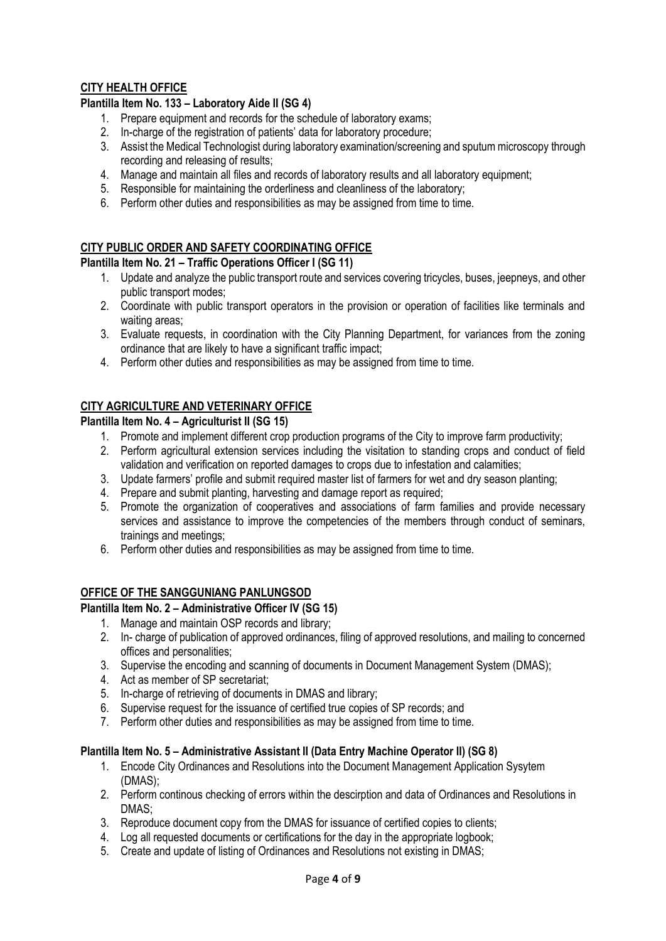## **CITY HEALTH OFFICE**

## **Plantilla Item No. 133 – Laboratory Aide II (SG 4)**

- 1. Prepare equipment and records for the schedule of laboratory exams;
- 2. In-charge of the registration of patients' data for laboratory procedure;
- 3. Assist the Medical Technologist during laboratory examination/screening and sputum microscopy through recording and releasing of results;
- 4. Manage and maintain all files and records of laboratory results and all laboratory equipment;
- 5. Responsible for maintaining the orderliness and cleanliness of the laboratory;
- 6. Perform other duties and responsibilities as may be assigned from time to time.

# **CITY PUBLIC ORDER AND SAFETY COORDINATING OFFICE**

### **Plantilla Item No. 21 – Traffic Operations Officer I (SG 11)**

- 1. Update and analyze the public transport route and services covering tricycles, buses, jeepneys, and other public transport modes;
- 2. Coordinate with public transport operators in the provision or operation of facilities like terminals and waiting areas;
- 3. Evaluate requests, in coordination with the City Planning Department, for variances from the zoning ordinance that are likely to have a significant traffic impact;
- 4. Perform other duties and responsibilities as may be assigned from time to time.

# **CITY AGRICULTURE AND VETERINARY OFFICE**

# **Plantilla Item No. 4 – Agriculturist II (SG 15)**

- 1. Promote and implement different crop production programs of the City to improve farm productivity;
- 2. Perform agricultural extension services including the visitation to standing crops and conduct of field validation and verification on reported damages to crops due to infestation and calamities;
- 3. Update farmers' profile and submit required master list of farmers for wet and dry season planting;
- 4. Prepare and submit planting, harvesting and damage report as required;
- 5. Promote the organization of cooperatives and associations of farm families and provide necessary services and assistance to improve the competencies of the members through conduct of seminars, trainings and meetings;
- 6. Perform other duties and responsibilities as may be assigned from time to time.

# **OFFICE OF THE SANGGUNIANG PANLUNGSOD**

#### **Plantilla Item No. 2 – Administrative Officer IV (SG 15)**

- 1. Manage and maintain OSP records and library;
- 2. In- charge of publication of approved ordinances, filing of approved resolutions, and mailing to concerned offices and personalities;
- 3. Supervise the encoding and scanning of documents in Document Management System (DMAS);
- 4. Act as member of SP secretariat;
- 5. In-charge of retrieving of documents in DMAS and library;
- 6. Supervise request for the issuance of certified true copies of SP records; and
- 7. Perform other duties and responsibilities as may be assigned from time to time.

#### **Plantilla Item No. 5 – Administrative Assistant II (Data Entry Machine Operator II) (SG 8)**

- 1. Encode City Ordinances and Resolutions into the Document Management Application Sysytem (DMAS);
- 2. Perform continous checking of errors within the descirption and data of Ordinances and Resolutions in DMAS;
- 3. Reproduce document copy from the DMAS for issuance of certified copies to clients;
- 4. Log all requested documents or certifications for the day in the appropriate logbook;
- 5. Create and update of listing of Ordinances and Resolutions not existing in DMAS;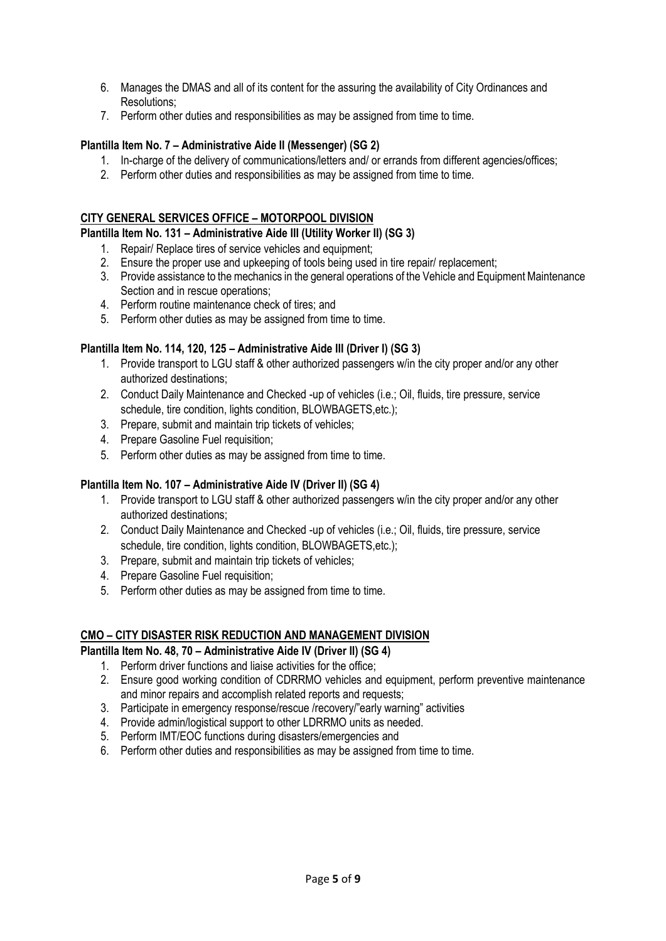- 6. Manages the DMAS and all of its content for the assuring the availability of City Ordinances and Resolutions;
- 7. Perform other duties and responsibilities as may be assigned from time to time.

#### **Plantilla Item No. 7 – Administrative Aide II (Messenger) (SG 2)**

- 1. In-charge of the delivery of communications/letters and/ or errands from different agencies/offices;
- 2. Perform other duties and responsibilities as may be assigned from time to time.

#### **CITY GENERAL SERVICES OFFICE – MOTORPOOL DIVISION**

#### **Plantilla Item No. 131 – Administrative Aide III (Utility Worker II) (SG 3)**

- 1. Repair/ Replace tires of service vehicles and equipment;
- 2. Ensure the proper use and upkeeping of tools being used in tire repair/ replacement;
- 3. Provide assistance to the mechanics in the general operations of the Vehicle and Equipment Maintenance Section and in rescue operations:
- 4. Perform routine maintenance check of tires; and
- 5. Perform other duties as may be assigned from time to time.

#### **Plantilla Item No. 114, 120, 125 – Administrative Aide III (Driver I) (SG 3)**

- 1. Provide transport to LGU staff & other authorized passengers w/in the city proper and/or any other authorized destinations;
- 2. Conduct Daily Maintenance and Checked -up of vehicles (i.e.; Oil, fluids, tire pressure, service schedule, tire condition, lights condition, BLOWBAGETS, etc.);
- 3. Prepare, submit and maintain trip tickets of vehicles;
- 4. Prepare Gasoline Fuel requisition;
- 5. Perform other duties as may be assigned from time to time.

#### **Plantilla Item No. 107 – Administrative Aide IV (Driver II) (SG 4)**

- 1. Provide transport to LGU staff & other authorized passengers w/in the city proper and/or any other authorized destinations;
- 2. Conduct Daily Maintenance and Checked -up of vehicles (i.e.; Oil, fluids, tire pressure, service schedule, tire condition, lights condition, BLOWBAGETS, etc.);
- 3. Prepare, submit and maintain trip tickets of vehicles;
- 4. Prepare Gasoline Fuel requisition:
- 5. Perform other duties as may be assigned from time to time.

#### **CMO – CITY DISASTER RISK REDUCTION AND MANAGEMENT DIVISION**

#### **Plantilla Item No. 48, 70 – Administrative Aide IV (Driver II) (SG 4)**

- 1. Perform driver functions and liaise activities for the office;
- 2. Ensure good working condition of CDRRMO vehicles and equipment, perform preventive maintenance and minor repairs and accomplish related reports and requests;
- 3. Participate in emergency response/rescue /recovery/"early warning" activities
- 4. Provide admin/logistical support to other LDRRMO units as needed.
- 5. Perform IMT/EOC functions during disasters/emergencies and
- 6. Perform other duties and responsibilities as may be assigned from time to time.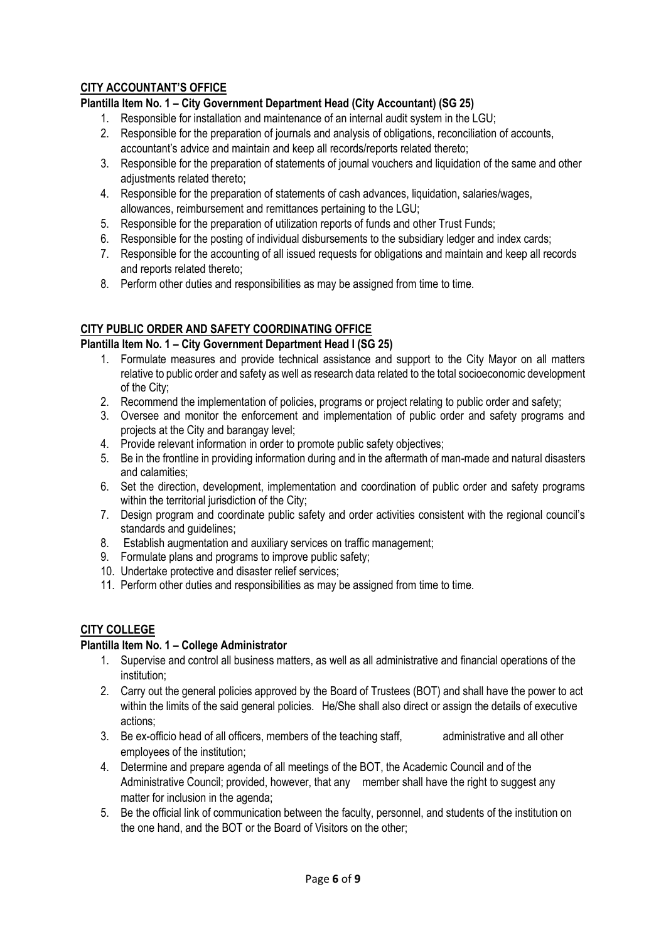# **CITY ACCOUNTANT'S OFFICE**

# **Plantilla Item No. 1 – City Government Department Head (City Accountant) (SG 25)**

- 1. Responsible for installation and maintenance of an internal audit system in the LGU;
- 2. Responsible for the preparation of journals and analysis of obligations, reconciliation of accounts, accountant's advice and maintain and keep all records/reports related thereto;
- 3. Responsible for the preparation of statements of journal vouchers and liquidation of the same and other adiustments related thereto;
- 4. Responsible for the preparation of statements of cash advances, liquidation, salaries/wages, allowances, reimbursement and remittances pertaining to the LGU;
- 5. Responsible for the preparation of utilization reports of funds and other Trust Funds;
- 6. Responsible for the posting of individual disbursements to the subsidiary ledger and index cards;
- 7. Responsible for the accounting of all issued requests for obligations and maintain and keep all records and reports related thereto;
- 8. Perform other duties and responsibilities as may be assigned from time to time.

## **CITY PUBLIC ORDER AND SAFETY COORDINATING OFFICE**

#### **Plantilla Item No. 1 – City Government Department Head I (SG 25)**

- 1. Formulate measures and provide technical assistance and support to the City Mayor on all matters relative to public order and safety as well as research data related to the total socioeconomic development of the City;
- 2. Recommend the implementation of policies, programs or project relating to public order and safety;
- 3. Oversee and monitor the enforcement and implementation of public order and safety programs and projects at the City and barangay level;
- 4. Provide relevant information in order to promote public safety objectives;
- 5. Be in the frontline in providing information during and in the aftermath of man-made and natural disasters and calamities;
- 6. Set the direction, development, implementation and coordination of public order and safety programs within the territorial jurisdiction of the City;
- 7. Design program and coordinate public safety and order activities consistent with the regional council's standards and guidelines;
- 8. Establish augmentation and auxiliary services on traffic management;
- 9. Formulate plans and programs to improve public safety;
- 10. Undertake protective and disaster relief services;
- 11. Perform other duties and responsibilities as may be assigned from time to time.

# **CITY COLLEGE**

### **Plantilla Item No. 1 – College Administrator**

- 1. Supervise and control all business matters, as well as all administrative and financial operations of the institution;
- 2. Carry out the general policies approved by the Board of Trustees (BOT) and shall have the power to act within the limits of the said general policies. He/She shall also direct or assign the details of executive actions;
- 3. Be ex-officio head of all officers, members of the teaching staff, and ministrative and all other employees of the institution;
- 4. Determine and prepare agenda of all meetings of the BOT, the Academic Council and of the Administrative Council; provided, however, that any member shall have the right to suggest any matter for inclusion in the agenda;
- 5. Be the official link of communication between the faculty, personnel, and students of the institution on the one hand, and the BOT or the Board of Visitors on the other;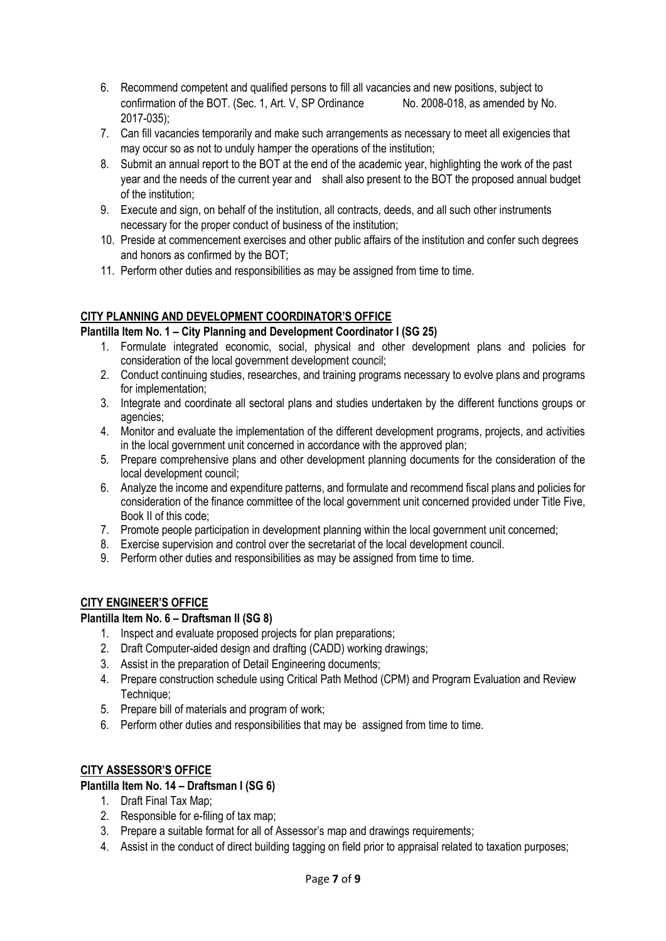- 6. Recommend competent and qualified persons to fill all vacancies and new positions, subject to confirmation of the BOT. (Sec. 1, Art. V, SP Ordinance No. 2008-018, as amended by No. 2017-035);
- 7. Can fill vacancies temporarily and make such arrangements as necessary to meet all exigencies that may occur so as not to unduly hamper the operations of the institution;
- 8. Submit an annual report to the BOT at the end of the academic year, highlighting the work of the past year and the needs of the current year and shall also present to the BOT the proposed annual budget of the institution;
- 9. Execute and sign, on behalf of the institution, all contracts, deeds, and all such other instruments necessary for the proper conduct of business of the institution;
- 10. Preside at commencement exercises and other public affairs of the institution and confer such degrees and honors as confirmed by the BOT;
- 11. Perform other duties and responsibilities as may be assigned from time to time.

# **CITY PLANNING AND DEVELOPMENT COORDINATOR'S OFFICE**

# **Plantilla Item No. 1 – City Planning and Development Coordinator I (SG 25)**

- 1. Formulate integrated economic, social, physical and other development plans and policies for consideration of the local government development council;
- 2. Conduct continuing studies, researches, and training programs necessary to evolve plans and programs for implementation;
- 3. Integrate and coordinate all sectoral plans and studies undertaken by the different functions groups or agencies;
- 4. Monitor and evaluate the implementation of the different development programs, projects, and activities in the local government unit concerned in accordance with the approved plan;
- 5. Prepare comprehensive plans and other development planning documents for the consideration of the local development council;
- 6. Analyze the income and expenditure patterns, and formulate and recommend fiscal plans and policies for consideration of the finance committee of the local government unit concerned provided under Title Five, Book II of this code;
- 7. Promote people participation in development planning within the local government unit concerned;
- 8. Exercise supervision and control over the secretariat of the local development council.
- 9. Perform other duties and responsibilities as may be assigned from time to time.

# **CITY ENGINEER'S OFFICE**

## **Plantilla Item No. 6 – Draftsman II (SG 8)**

- 1. Inspect and evaluate proposed projects for plan preparations;
- 2. Draft Computer-aided design and drafting (CADD) working drawings;
- 3. Assist in the preparation of Detail Engineering documents;
- 4. Prepare construction schedule using Critical Path Method (CPM) and Program Evaluation and Review Technique;
- 5. Prepare bill of materials and program of work;
- 6. Perform other duties and responsibilities that may be assigned from time to time.

# **CITY ASSESSOR'S OFFICE**

#### **Plantilla Item No. 14 – Draftsman I (SG 6)**

- 1. Draft Final Tax Map;
- 2. Responsible for e-filing of tax map;
- 3. Prepare a suitable format for all of Assessor's map and drawings requirements;
- 4. Assist in the conduct of direct building tagging on field prior to appraisal related to taxation purposes;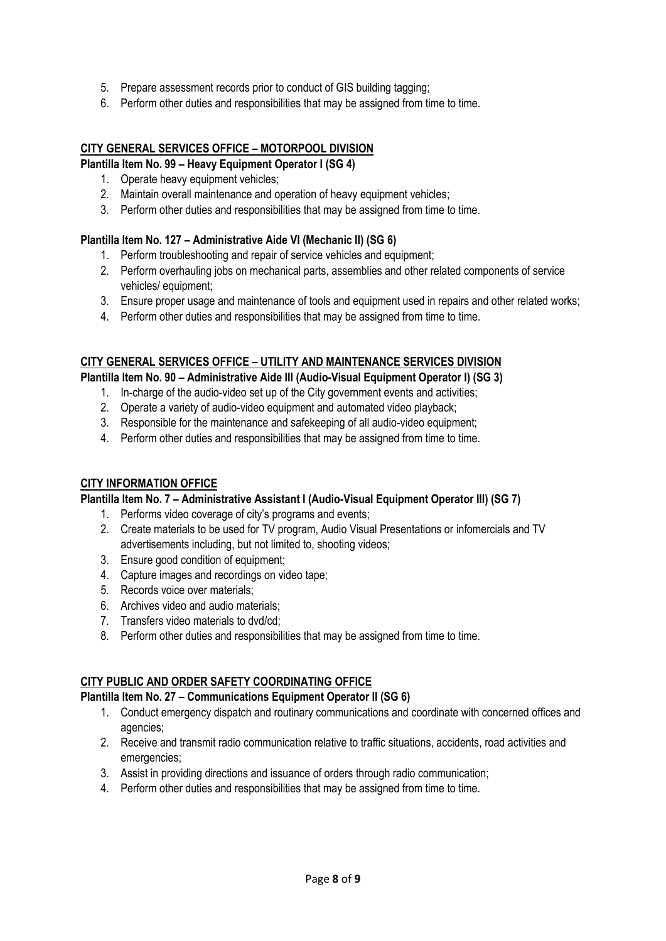- 5. Prepare assessment records prior to conduct of GIS building tagging;
- 6. Perform other duties and responsibilities that may be assigned from time to time.

## **CITY GENERAL SERVICES OFFICE – MOTORPOOL DIVISION**

## **Plantilla Item No. 99 – Heavy Equipment Operator I (SG 4)**

- 1. Operate heavy equipment vehicles;
- 2. Maintain overall maintenance and operation of heavy equipment vehicles;
- 3. Perform other duties and responsibilities that may be assigned from time to time.

## **Plantilla Item No. 127 – Administrative Aide VI (Mechanic II) (SG 6)**

- 1. Perform troubleshooting and repair of service vehicles and equipment;
- 2. Perform overhauling jobs on mechanical parts, assemblies and other related components of service vehicles/ equipment;
- 3. Ensure proper usage and maintenance of tools and equipment used in repairs and other related works;
- 4. Perform other duties and responsibilities that may be assigned from time to time.

## **CITY GENERAL SERVICES OFFICE – UTILITY AND MAINTENANCE SERVICES DIVISION**

**Plantilla Item No. 90 – Administrative Aide III (Audio-Visual Equipment Operator I) (SG 3)**

- 1. In-charge of the audio-video set up of the City government events and activities;
- 2. Operate a variety of audio-video equipment and automated video playback;
- 3. Responsible for the maintenance and safekeeping of all audio-video equipment;
- 4. Perform other duties and responsibilities that may be assigned from time to time.

#### **CITY INFORMATION OFFICE**

## **Plantilla Item No. 7 – Administrative Assistant I (Audio-Visual Equipment Operator III) (SG 7)**

- 1. Performs video coverage of city's programs and events;
- 2. Create materials to be used for TV program, Audio Visual Presentations or infomercials and TV advertisements including, but not limited to, shooting videos;
- 3. Ensure good condition of equipment;
- 4. Capture images and recordings on video tape;
- 5. Records voice over materials;
- 6. Archives video and audio materials;
- 7. Transfers video materials to dvd/cd;
- 8. Perform other duties and responsibilities that may be assigned from time to time.

# **CITY PUBLIC AND ORDER SAFETY COORDINATING OFFICE**

#### **Plantilla Item No. 27 – Communications Equipment Operator II (SG 6)**

- 1. Conduct emergency dispatch and routinary communications and coordinate with concerned offices and agencies;
- 2. Receive and transmit radio communication relative to traffic situations, accidents, road activities and emergencies:
- 3. Assist in providing directions and issuance of orders through radio communication;
- 4. Perform other duties and responsibilities that may be assigned from time to time.